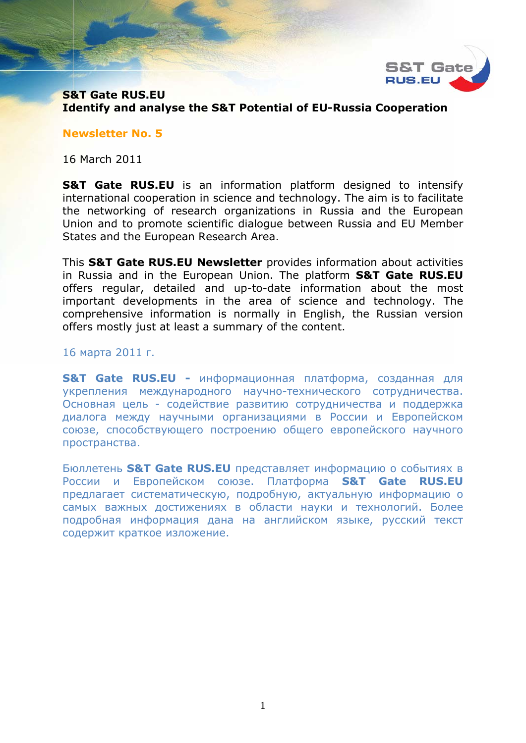

### **S&T Gate RUS.EU Identify and analyse the S&T Potential of EU-Russia Cooperation**

#### **Newsletter No. 5**

16 March 2011

**S&T Gate RUS.EU** is an information platform designed to intensify international cooperation in science and technology. The aim is to facilitate the networking of research organizations in Russia and the European Union and to promote scientific dialogue between Russia and EU Member States and the European Research Area.

This **S&T Gate RUS.EU Newsletter** provides information about activities in Russia and in the European Union. The platform **S&T Gate RUS.EU** offers regular, detailed and up-to-date information about the most important developments in the area of science and technology. The comprehensive information is normally in English, the Russian version offers mostly just at least a summary of the content.

#### 16 марта 2011 г.

**S&T Gate RUS.EU -** информационная платформа, созданная для укрепления международного научно-технического сотрудничества. Основная цель - содействие развитию сотрудничества и поддержка диалога между научными организациями в России и Европейском союзе, способствующего построению общего европейского научного пространства.

Бюллетень **S&T Gate RUS.EU** представляет информацию о событиях в России и Европейском союзе. Платформа **S&T Gate RUS.EU** предлагает систематическую, подробную, актуальную информацию о самых важных достижениях в области науки и технологий. Более подробная информация дана на английском языке, русский текст содержит краткое изложение.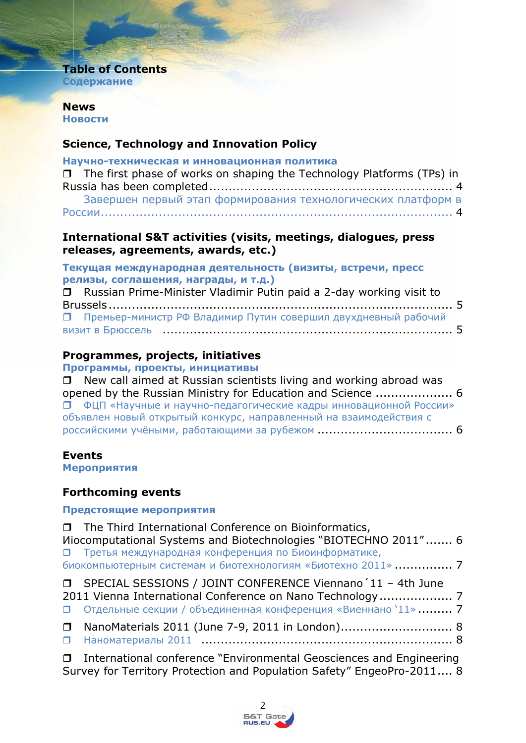# **Table of Contents**

**Содержание**

### **News Новости**

### **Science, Technology and Innovation Policy**

| Научно-техническая и инновационная политика                                  |  |
|------------------------------------------------------------------------------|--|
| $\Box$ The first phase of works on shaping the Technology Platforms (TPs) in |  |
|                                                                              |  |
| Завершен первый этап формирования технологических платформ в                 |  |
|                                                                              |  |

### **International S&T activities (visits, meetings, dialogues, press releases, agreements, awards, etc.)**

**Текущая международная деятельность (визиты, встречи, пресс релизы, соглашения, награды, и т.д.)**  Russian Prime-Minister Vladimir Putin paid a 2-day working visit to Brussels ......................................................................................... 5 Премьер-министр РФ Владимир Путин совершил двухдневный рабочий визит в Брюссель ........................................................................... 5

# **Programmes, projects, initiatives**

**Программы, проекты, инициативы**

| $\Box$ New call aimed at Russian scientists living and working abroad was |  |
|---------------------------------------------------------------------------|--|
| opened by the Russian Ministry for Education and Science  6               |  |
| П ФЦП «Научные и научно-педагогические кадры инновационной России»        |  |
| объявлен новый открытый конкурс, направленный на взаимодействия с         |  |
|                                                                           |  |

# **Events**

**Мероприятия**

# **Forthcoming events**

### **Предстоящие мероприятия**

| □ The Third International Conference on Bioinformatics,<br>Miocomputational Systems and Biotechnologies "BIOTECHNO 2011" 6                                                                                                           |  |
|--------------------------------------------------------------------------------------------------------------------------------------------------------------------------------------------------------------------------------------|--|
| П Третья международная конференция по Биоинформатике,<br>биокомпьютерным системам и биотехнологиям «Биотехно 2011»  7                                                                                                                |  |
| □ SPECIAL SESSIONS / JOINT CONFERENCE Viennano '11 - 4th June<br>• Отдельные секции / объединенная конференция «Виеннано '11»  7                                                                                                     |  |
| □ NanoMaterials 2011 (June 7-9, 2011 in London) 8                                                                                                                                                                                    |  |
| $\blacksquare$ . The state is the state of the state of the state of the state of the state of the state of the state of the state of the state of the state of the state of the state of the state of the state of the state of the |  |

 International conference "Environmental Geosciences and Engineering Survey for Territory Protection and Population Safety" EngeoPro-2011.... 8

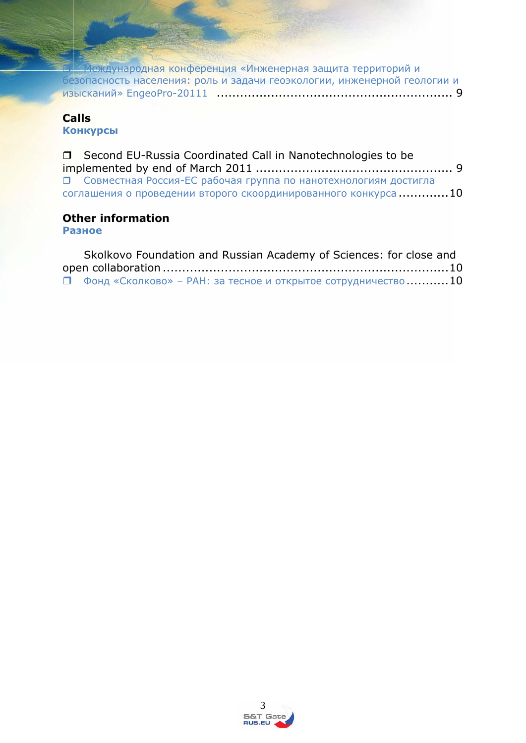Международная конференция «Инженерная защита территорий и безопасность населения: роль и задачи геоэкологии, инженерной геологии и изысканий» EngeoPro-20111 ............................................................. 9

# **Calls**

**Конкурсы**

| □ Second EU-Russia Coordinated Call in Nanotechnologies to be     |  |
|-------------------------------------------------------------------|--|
|                                                                   |  |
| • Совместная Россия-ЕС рабочая группа по нанотехнологиям достигла |  |
| соглашения о проведении второго скоординированного конкурса10     |  |

# **Other information**

**Разное**

| Skolkovo Foundation and Russian Academy of Sciences: for close and  |  |
|---------------------------------------------------------------------|--|
|                                                                     |  |
| $\Box$ Фонд «Сколково» – РАН: за тесное и открытое сотрудничество10 |  |

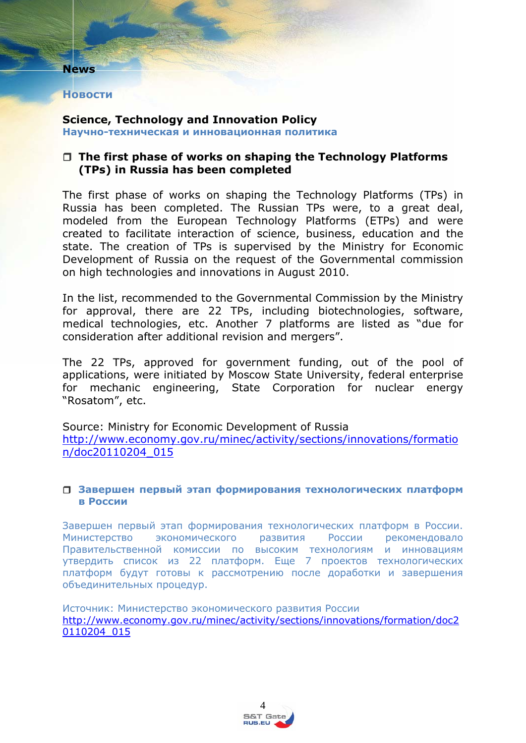#### **Новости**

**News** 

#### **Science, Technology and Innovation Policy Научно-техническая и инновационная политика**

### **The first phase of works on shaping the Technology Platforms (TPs) in Russia has been completed**

The first phase of works on shaping the Technology Platforms (TPs) in Russia has been completed. The Russian TPs were, to a great deal, modeled from the European Technology Platforms (ETPs) and were created to facilitate interaction of science, business, education and the state. The creation of TPs is supervised by the Ministry for Economic Development of Russia on the request of the Governmental commission on high technologies and innovations in August 2010.

In the list, recommended to the Governmental Commission by the Ministry for approval, there are 22 TPs, including biotechnologies, software, medical technologies, etc. Another 7 platforms are listed as "due for consideration after additional revision and mergers".

The 22 TPs, approved for government funding, out of the pool of applications, were initiated by Moscow State University, federal enterprise for mechanic engineering, State Corporation for nuclear energy "Rosatom", etc.

Source: Ministry for Economic Development of Russia http://www.economy.gov.ru/minec/activity/sections/innovations/formatio n/doc20110204\_015

#### **Завершен первый этап формирования технологических платформ в России**

Завершен первый этап формирования технологических платформ в России. Министерство экономического развития России рекомендовало Правительственной комиссии по высоким технологиям и инновациям утвердить список из 22 платформ. Еще 7 проектов технологических платформ будут готовы к рассмотрению после доработки и завершения объединительных процедур.

Источник: Министерство экономического развития России http://www.economy.gov.ru/minec/activity/sections/innovations/formation/doc2 0110204\_015

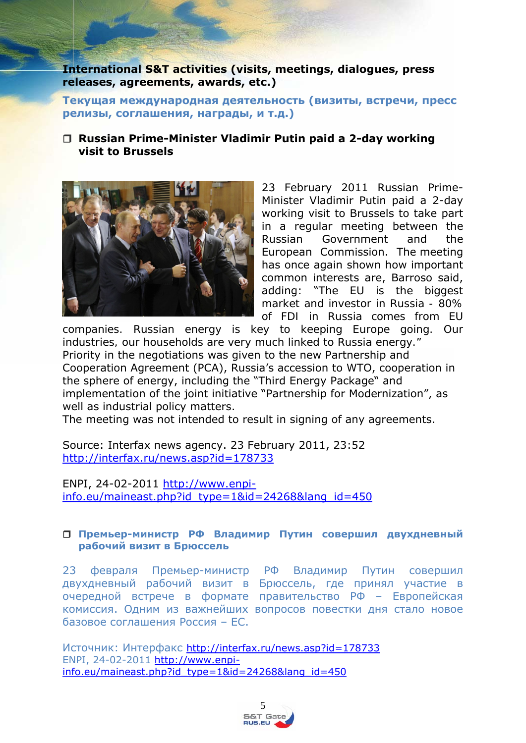### **International S&T activities (visits, meetings, dialogues, press releases, agreements, awards, etc.)**

**Текущая международная деятельность (визиты, встречи, пресс релизы, соглашения, награды, и т.д.)** 

### **Russian Prime-Minister Vladimir Putin paid a 2-day working visit to Brussels**



23 February 2011 Russian Prime-Minister Vladimir Putin paid a 2-day working visit to Brussels to take part in a regular meeting between the Russian Government and the European Commission. The meeting has once again shown how important common interests are, Barroso said, adding: "*The EU is the biggest market and investor in Russia - 80% of FDI in Russia comes from EU* 

*companies. Russian energy is key to keeping Europe going. Our industries, our households are very much linked to Russia energy."* Priority in the negotiations was given to the new Partnership and Cooperation Agreement (PCA), Russia's accession to WTO, cooperation in the sphere of energy, including the "Third Energy Package" and implementation of the joint initiative "Partnership for Modernization", as well as industrial policy matters.

The meeting was not intended to result in signing of any agreements.

Source: Interfax news agency. 23 February 2011, 23:52 http://interfax.ru/news.asp?id=178733

ENPI, 24-02-2011 http://www.enpiinfo.eu/maineast.php?id\_type=1&id=24268&lang\_id=450

#### **Премьер-министр РФ Владимир Путин совершил двухдневный рабочий визит в Брюссель**

23 февраля Премьер-министр РФ Владимир Путин совершил двухдневный рабочий визит в Брюссель, где принял участие в очередной встрече в формате правительство РФ – Европейская комиссия. Одним из важнейших вопросов повестки дня стало новое базовое соглашения Россия – ЕС.

Источник: Интерфакс http://interfax.ru/news.asp?id=178733 ENPI, 24-02-2011 http://www.enpiinfo.eu/maineast.php?id\_type=1&id=24268&lang\_id=450

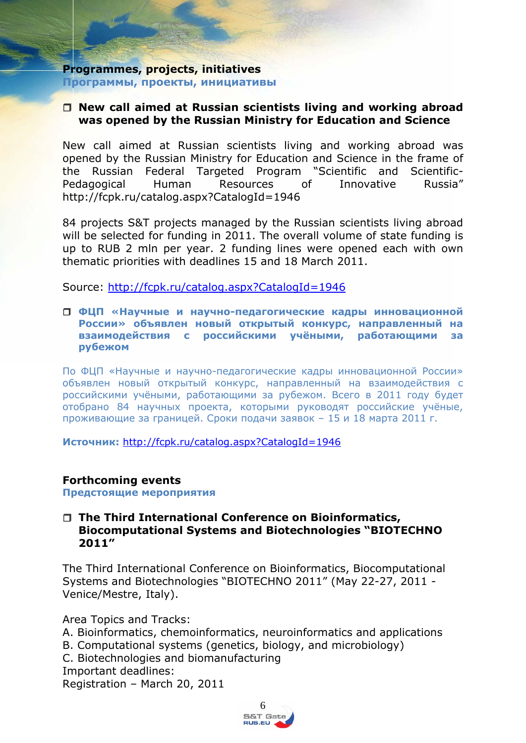#### **Programmes, projects, initiatives Программы, проекты, инициативы**

### **New call aimed at Russian scientists living and working abroad was opened by the Russian Ministry for Education and Science**

New call aimed at Russian scientists living and working abroad was opened by the Russian Ministry for Education and Science in the frame of the Russian Federal Targeted Program "Scientific and Scientific-Pedagogical Human Resources of Innovative Russia" http://fcpk.ru/catalog.aspx?CatalogId=1946

84 projects S&T projects managed by the Russian scientists living abroad will be selected for funding in 2011. The overall volume of state funding is up to RUB 2 mln per year. 2 funding lines were opened each with own thematic priorities with deadlines 15 and 18 March 2011.

Source: http://fcpk.ru/catalog.aspx?CatalogId=1946

#### **ФЦП «Научные и научно-педагогические кадры инновационной России» объявлен новый открытый конкурс, направленный на взаимодействия с российскими учёными, работающими за рубежом**

По ФЦП «Научные и научно-педагогические кадры инновационной России» объявлен новый открытый конкурс, направленный на взаимодействия с российскими учёными, работающими за рубежом. Всего в 2011 году будет отобрано 84 научных проекта, которыми руководят российские учёные, проживающие за границей. Сроки подачи заявок – 15 и 18 марта 2011 г.

**Источник:** http://fcpk.ru/catalog.aspx?CatalogId=1946

### **Forthcoming events**

**Предстоящие мероприятия**

### **The Third International Conference on Bioinformatics, Biocomputational Systems and Biotechnologies "BIOTECHNO 2011"**

The Third International Conference on Bioinformatics, Biocomputational Systems and Biotechnologies "BIOTECHNO 2011" (May 22-27, 2011 - Venice/Mestre, Italy).

Area Topics and Tracks:

- A. Bioinformatics, chemoinformatics, neuroinformatics and applications
- B. Computational systems (genetics, biology, and microbiology)
- C. Biotechnologies and biomanufacturing

Important deadlines:

Registration – March 20, 2011

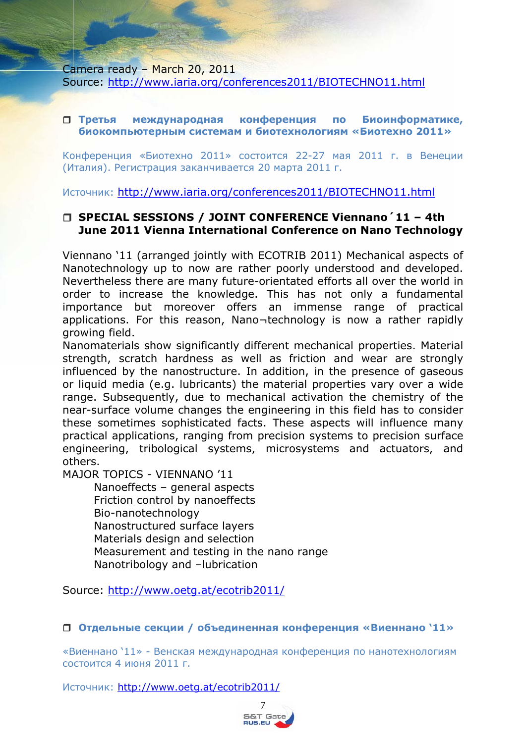Camera ready – March 20, 2011 Source: http://www.iaria.org/conferences2011/BIOTECHNO11.html

#### **Третья международная конференция по Биоинформатике, биокомпьютерным системам и биотехнологиям «Биотехно 2011»**

Конференция «Биотехно 2011» состоится 22-27 мая 2011 г. в Венеции (Италия). Регистрация заканчивается 20 марта 2011 г.

Источник: http://www.iaria.org/conferences2011/BIOTECHNO11.html

# **SPECIAL SESSIONS / JOINT CONFERENCE Viennano´11 – 4th June 2011 Vienna International Conference on Nano Technology**

Viennano '11 (arranged jointly with ECOTRIB 2011) Mechanical aspects of Nanotechnology up to now are rather poorly understood and developed. Nevertheless there are many future-orientated efforts all over the world in order to increase the knowledge. This has not only a fundamental importance but moreover offers an immense range of practical applications. For this reason, Nano¬technology is now a rather rapidly growing field.

Nanomaterials show significantly different mechanical properties. Material strength, scratch hardness as well as friction and wear are strongly influenced by the nanostructure. In addition, in the presence of gaseous or liquid media (e.g. lubricants) the material properties vary over a wide range. Subsequently, due to mechanical activation the chemistry of the near-surface volume changes the engineering in this field has to consider these sometimes sophisticated facts. These aspects will influence many practical applications, ranging from precision systems to precision surface engineering, tribological systems, microsystems and actuators, and others.

MAJOR TOPICS - VIENNANO '11

 Nanoeffects – general aspects Friction control by nanoeffects Bio-nanotechnology Nanostructured surface layers Materials design and selection Measurement and testing in the nano range Nanotribology and –lubrication

Source: http://www.oetg.at/ecotrib2011/

**Отдельные секции / объединенная конференция «Виеннано '11»** 

«Виеннано '11» - Венская международная конференция по нанотехнологиям состоится 4 июня 2011 г.

Источник: http://www.oetg.at/ecotrib2011/

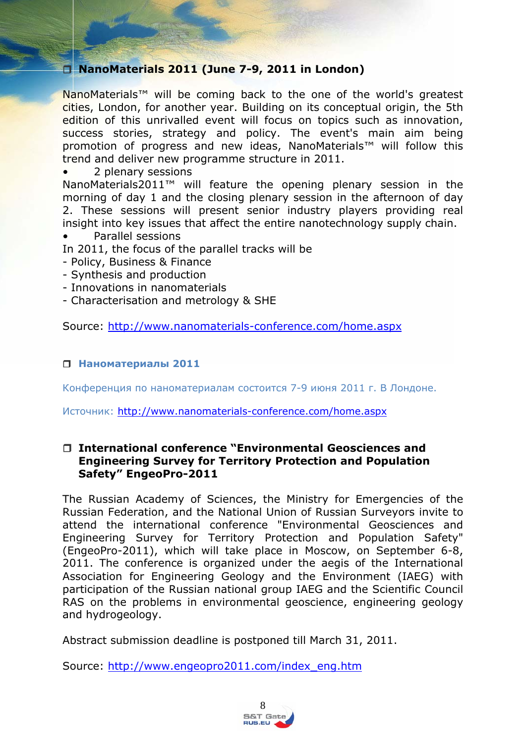# **NanoMaterials 2011 (June 7-9, 2011 in London)**

NanoMaterials™ will be coming back to the one of the world's greatest cities, London, for another year. Building on its conceptual origin, the 5th edition of this unrivalled event will focus on topics such as innovation, success stories, strategy and policy. The event's main aim being promotion of progress and new ideas, NanoMaterials™ will follow this trend and deliver new programme structure in 2011.

#### • 2 plenary sessions

NanoMaterials2011™ will feature the opening plenary session in the morning of day 1 and the closing plenary session in the afternoon of day 2. These sessions will present senior industry players providing real insight into key issues that affect the entire nanotechnology supply chain.

• Parallel sessions

In 2011, the focus of the parallel tracks will be

- Policy, Business & Finance
- Synthesis and production
- Innovations in nanomaterials
- Characterisation and metrology & SHE

Source: http://www.nanomaterials-conference.com/home.aspx

### **Наноматериалы 2011**

Конференция по наноматериалам состоится 7-9 июня 2011 г. В Лондоне.

Источник: http://www.nanomaterials-conference.com/home.aspx

### **International conference "Environmental Geosciences and Engineering Survey for Territory Protection and Population Safety" EngeoPro-2011**

The Russian Academy of Sciences, the Ministry for Emergencies of the Russian Federation, and the National Union of Russian Surveyors invite to attend the international conference "Environmental Geosciences and Engineering Survey for Territory Protection and Population Safety" (EngeoPro-2011), which will take place in Moscow, on September 6-8, 2011. The conference is organized under the aegis of the International Association for Engineering Geology and the Environment (IAEG) with participation of the Russian national group IAEG and the Scientific Council RAS on the problems in environmental geoscience, engineering geology and hydrogeology.

Abstract submission deadline is postponed till March 31, 2011.

Source: http://www.engeopro2011.com/index\_eng.htm

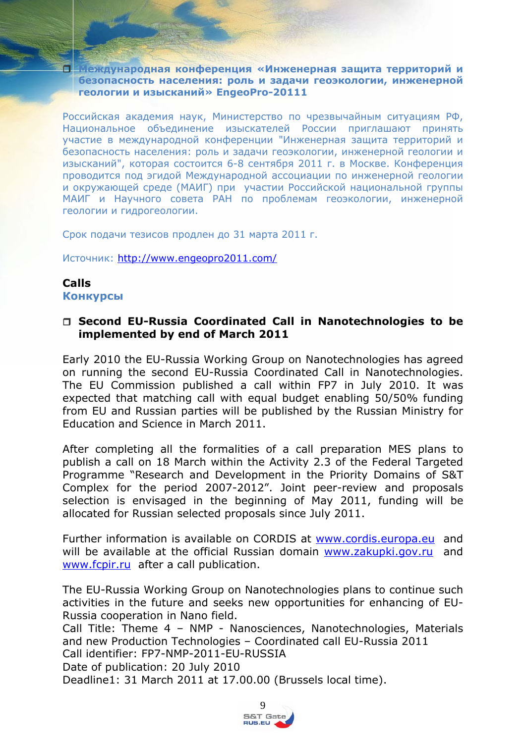**Международная конференция «Инженерная защита территорий и безопасность населения: роль и задачи геоэкологии, инженерной геологии и изысканий» EngeoPro-20111** 

Российская академия наук, Министерство по чрезвычайным ситуациям РФ, Национальное объединение изыскателей России приглашают принять участие в международной конференции "Инженерная защита территорий и безопасность населения: роль и задачи геоэкологии, инженерной геологии и изысканий", которая состоится 6-8 сентября 2011 г. в Москве. Конференция проводится под эгидой Международной ассоциации по инженерной геологии и окружающей среде (МАИГ) при участии Российской национальной группы МАИГ и Научного совета РАН по проблемам геоэкологии, инженерной геологии и гидрогеологии.

Срок подачи тезисов продлен до 31 марта 2011 г.

Источник: http://www.engeopro2011.com/

### **Calls Конкурсы**

### **Second EU-Russia Coordinated Call in Nanotechnologies to be implemented by end of March 2011**

Early 2010 the EU-Russia Working Group on Nanotechnologies has agreed on running the second EU-Russia Coordinated Call in Nanotechnologies. The EU Commission published a call within FP7 in July 2010. It was expected that matching call with equal budget enabling 50/50% funding from EU and Russian parties will be published by the Russian Ministry for Education and Science in March 2011.

After completing all the formalities of a call preparation MES plans to publish a call on 18 March within the Activity 2.3 of the Federal Targeted Programme "Research and Development in the Priority Domains of S&T Complex for the period 2007-2012". Joint peer-review and proposals selection is envisaged in the beginning of May 2011, funding will be allocated for Russian selected proposals since July 2011.

Further information is available on CORDIS at www.cordis.europa.eu and will be available at the official Russian domain www.zakupki.gov.ru and www.fcpir.ru after a call publication.

The EU-Russia Working Group on Nanotechnologies plans to continue such activities in the future and seeks new opportunities for enhancing of EU-Russia cooperation in Nano field.

Call Title: Theme 4 – NMP - Nanosciences, Nanotechnologies, Materials and new Production Technologies – Coordinated call EU-Russia 2011 Call identifier: FP7-NMP-2011-EU-RUSSIA

Date of publication: 20 July 2010

Deadline1: 31 March 2011 at 17.00.00 (Brussels local time).

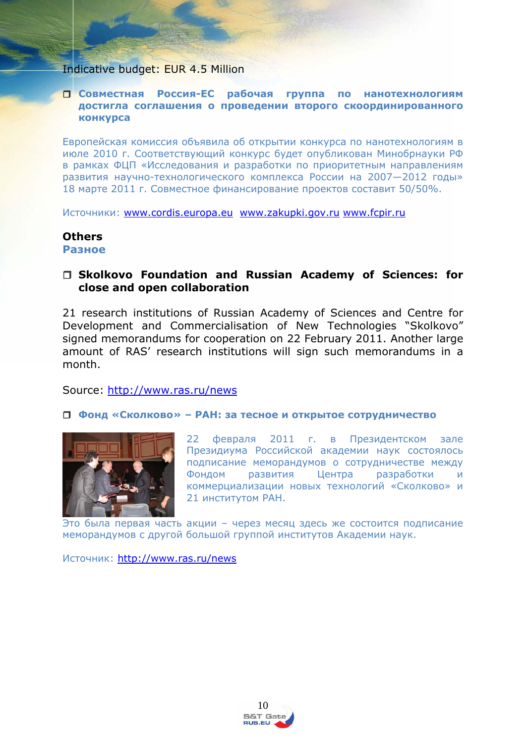#### Indicative budget: EUR 4.5 Million

#### **Совместная Россия-ЕС рабочая группа по нанотехнологиям достигла соглашения о проведении второго скоординированного конкурса**

Европейская комиссия объявила об открытии конкурса по нанотехнологиям в июле 2010 г. Соответствующий конкурс будет опубликован Минобрнауки РФ в рамках ФЦП «Исследования и разработки по приоритетным направлениям развития научно-технологического комплекса России на 2007—2012 годы» 18 марте 2011 г. Совместное финансирование проектов составит 50/50%.

Источники: www.cordis.europa.eu www.zakupki.gov.ru www.fcpir.ru

# **Others**

**Разное**

### **Skolkovo Foundation and Russian Academy of Sciences: for close and open collaboration**

21 research institutions of Russian Academy of Sciences and Centre for Development and Commercialisation of New Technologies "Skolkovo" signed memorandums for cooperation on 22 February 2011. Another large amount of RAS' research institutions will sign such memorandums in a month.

Source: http://www.ras.ru/news

#### **Фонд «Сколково» – РАН: за тесное и открытое сотрудничество**



22 февраля 2011 г. в Президентском зале Президиума Российской академии наук состоялось подписание меморандумов о сотрудничестве между Фондом развития Центра разработки и коммерциализации новых технологий «Сколково» и 21 институтом РАН.

Это была первая часть акции – через месяц здесь же состоится подписание меморандумов с другой большой группой институтов Академии наук.

Источник: http://www.ras.ru/news

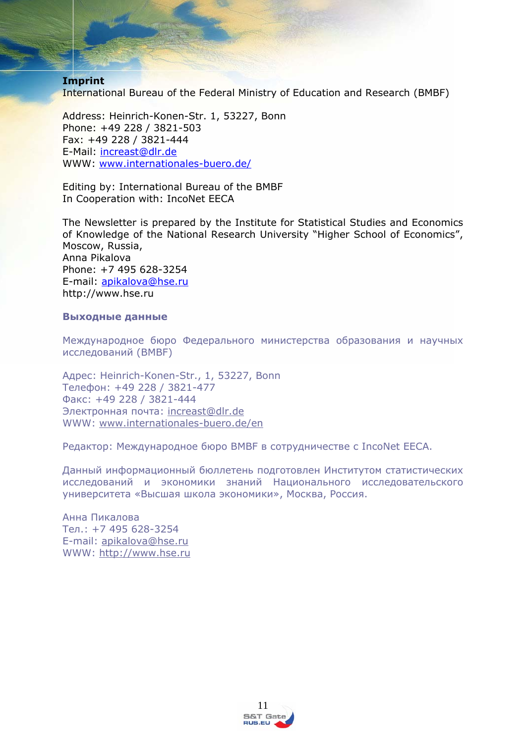#### **Imprint**

International Bureau of the Federal Ministry of Education and Research (BMBF)

Address: Heinrich-Konen-Str. 1, 53227, Bonn Phone: +49 228 / 3821-503 Fax: +49 228 / 3821-444 E-Mail: increast@dlr.de WWW: www.internationales-buero.de/

Editing by: International Bureau of the BMBF In Cooperation with: IncoNet EECA

The Newsletter is prepared by the Institute for Statistical Studies and Economics of Knowledge of the National Research University "Higher School of Economics", Moscow, Russia, Anna Pikalova Phone: +7 495 628-3254 E-mail: apikalova@hse.ru http://www.hse.ru

#### **Выходные данные**

Международное бюро Федерального министерства образования и научных исследований (BMBF)

Адрес: Heinrich-Konen-Str., 1, 53227, Bonn Телефон: +49 228 / 3821-477 Факс: +49 228 / 3821-444 Электронная почта: increast@dlr.de WWW: www.internationales-buero.de/en

Редактор: Международное бюро BMBF в сотрудничестве с IncoNet EECA.

Данный информационный бюллетень подготовлен Институтом статистических исследований и экономики знаний Национального исследовательского университета «Высшая школа экономики», Москва, Россия.

Анна Пикалова Тел.: +7 495 628-3254 E-mail: apikalova@hse.ru WWW: http://www.hse.ru